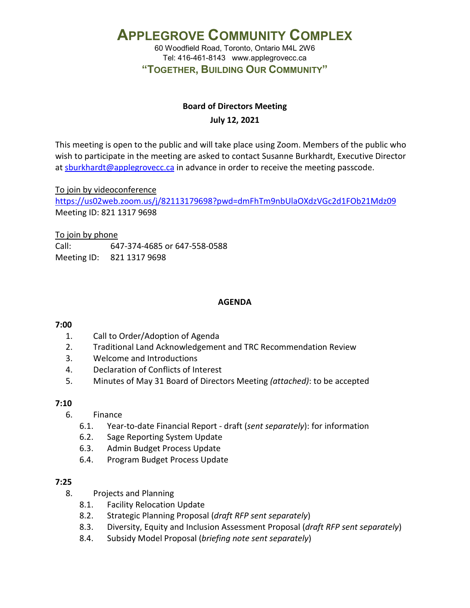60 Woodfield Road, Toronto, Ontario M4L 2W6 Tel: 416-461-8143 www.applegrovecc.ca **"TOGETHER, BUILDING OUR COMMUNITY"**

# **Board of Directors Meeting**

# **July 12, 2021**

This meeting is open to the public and will take place using Zoom. Members of the public who wish to participate in the meeting are asked to contact Susanne Burkhardt, Executive Director at [sburkhardt@applegrovecc.ca](mailto:sburkhardt@applegrovecc.ca) in advance in order to receive the meeting passcode.

To join by videoconference

<https://us02web.zoom.us/j/82113179698?pwd=dmFhTm9nbUlaOXdzVGc2d1FOb21Mdz09> Meeting ID: 821 1317 9698

To join by phone

Call: 647-374-4685 or 647-558-0588 Meeting ID: 821 1317 9698

# **AGENDA**

# **7:00**

- 1. Call to Order/Adoption of Agenda
- 2. Traditional Land Acknowledgement and TRC Recommendation Review
- 3. Welcome and Introductions
- 4. Declaration of Conflicts of Interest
- 5. Minutes of May 31 Board of Directors Meeting *(attached)*: to be accepted

# **7:10**

- 6. Finance
	- 6.1. Year-to-date Financial Report draft (*sent separately*): for information
	- 6.2. Sage Reporting System Update
	- 6.3. Admin Budget Process Update
	- 6.4. Program Budget Process Update

# **7:25**

- 8. Projects and Planning
	- 8.1. Facility Relocation Update
	- 8.2. Strategic Planning Proposal (*draft RFP sent separately*)
	- 8.3. Diversity, Equity and Inclusion Assessment Proposal (*draft RFP sent separately*)
	- 8.4. Subsidy Model Proposal (*briefing note sent separately*)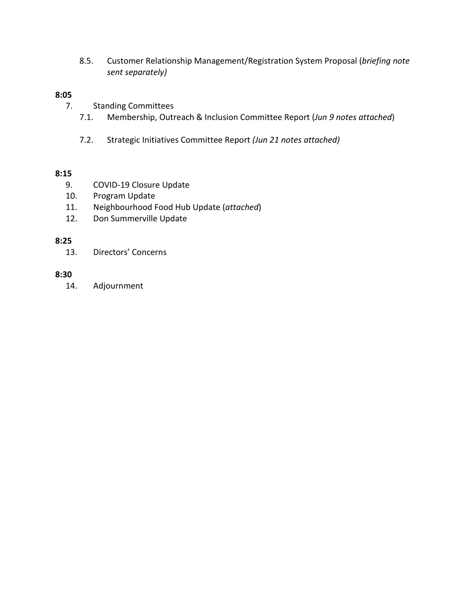8.5. Customer Relationship Management/Registration System Proposal (*briefing note sent separately)*

# **8:05**

- 7. Standing Committees
	- 7.1. Membership, Outreach & Inclusion Committee Report (*Jun 9 notes attached*)
	- 7.2. Strategic Initiatives Committee Report *(Jun 21 notes attached)*

# **8:15**

- 9. COVID-19 Closure Update
- 10. Program Update
- 11. Neighbourhood Food Hub Update (*attached*)
- 12. Don Summerville Update

# **8:25**

13. Directors' Concerns

# **8:30**

14. Adjournment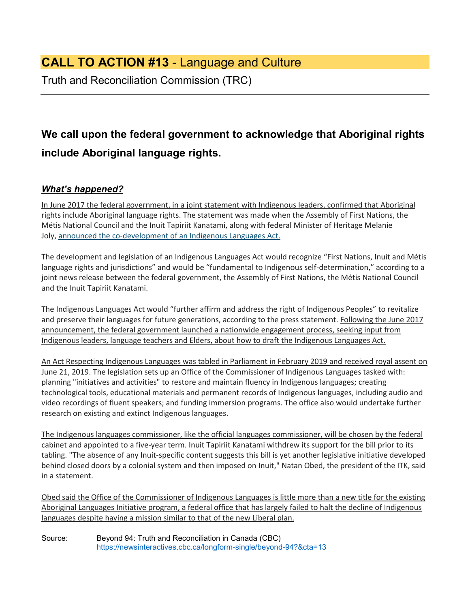# **CALL TO ACTION #13** - Language and Culture

Truth and Reconciliation Commission (TRC)

# **We call upon the federal government to acknowledge that Aboriginal rights include Aboriginal language rights.**

# *What's happened?*

In June 2017 the federal government, in a joint statement with Indigenous leaders, confirmed that Aboriginal rights include Aboriginal language rights. The statement was made when the Assembly of First Nations, the Métis National Council and the Inuit Tapiriit Kanatami, along with federal Minister of Heritage Melanie Joly, [announced the co-development of an Indigenous Languages Act.](http://www.cbc.ca/news/canada/north/indigenous-language-inuktut-natan-obed-1.4168017)

The development and legislation of an Indigenous Languages Act would recognize "First Nations, Inuit and Métis language rights and jurisdictions" and would be "fundamental to Indigenous self-determination," according to a joint news release between the federal government, the Assembly of First Nations, the Métis National Council and the Inuit Tapiriit Kanatami.

The Indigenous Languages Act would "further affirm and address the right of Indigenous Peoples" to revitalize and preserve their languages for future generations, according to the press statement. Following the June 2017 announcement, the federal government launched a nationwide engagement process, seeking input from Indigenous leaders, language teachers and Elders, about how to draft the Indigenous Languages Act.

An Act Respecting Indigenous Languages was tabled in Parliament in February 2019 and received royal assent on June 21, 2019. The legislation sets up an Office of the Commissioner of Indigenous Languages tasked with: planning "initiatives and activities" to restore and maintain fluency in Indigenous languages; creating technological tools, educational materials and permanent records of Indigenous languages, including audio and video recordings of fluent speakers; and funding immersion programs. The office also would undertake further research on existing and extinct Indigenous languages.

The Indigenous languages commissioner, like the official languages commissioner, will be chosen by the federal cabinet and appointed to a five-year term. Inuit Tapiriit Kanatami withdrew its support for the bill prior to its tabling. "The absence of any Inuit-specific content suggests this bill is yet another legislative initiative developed behind closed doors by a colonial system and then imposed on Inuit," Natan Obed, the president of the ITK, said in a statement.

Obed said the Office of the Commissioner of Indigenous Languages is little more than a new title for the existing Aboriginal Languages Initiative program, a federal office that has largely failed to halt the decline of Indigenous languages despite having a mission similar to that of the new Liberal plan.

Source: Beyond 94: Truth and Reconciliation in Canada (CBC) <https://newsinteractives.cbc.ca/longform-single/beyond-94?&cta=13>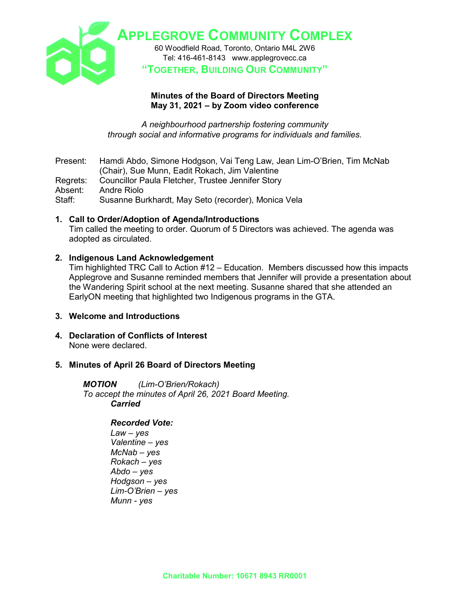

# **Minutes of the Board of Directors Meeting May 31, 2021 – by Zoom video conference**

*A neighbourhood partnership fostering community through social and informative programs for individuals and families.*

Present: Hamdi Abdo, Simone Hodgson, Vai Teng Law, Jean Lim-O'Brien, Tim McNab (Chair), Sue Munn, Eadit Rokach, Jim Valentine Regrets: Councillor Paula Fletcher, Trustee Jennifer Story<br>Absent: Andre Riolo Absent: Andre Riolo<br>Staff: Susanne Bu Susanne Burkhardt, May Seto (recorder), Monica Vela

# **1. Call to Order/Adoption of Agenda/Introductions**

Tim called the meeting to order. Quorum of 5 Directors was achieved. The agenda was adopted as circulated.

# **2. Indigenous Land Acknowledgement**

Tim highlighted TRC Call to Action #12 – Education. Members discussed how this impacts Applegrove and Susanne reminded members that Jennifer will provide a presentation about the Wandering Spirit school at the next meeting. Susanne shared that she attended an EarlyON meeting that highlighted two Indigenous programs in the GTA.

#### **3. Welcome and Introductions**

**4. Declaration of Conflicts of Interest**  None were declared.

# **5. Minutes of April 26 Board of Directors Meeting**

*MOTION (Lim-O'Brien/Rokach) To accept the minutes of April 26, 2021 Board Meeting. Carried*

# *Recorded Vote:*

*Law – yes Valentine – yes McNab – yes Rokach – yes Abdo – yes Hodgson – yes Lim-O'Brien – yes Munn - yes*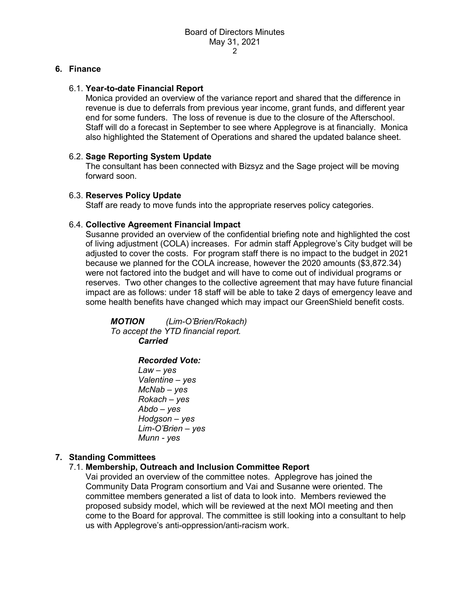### **6. Finance**

### 6.1. **Year-to-date Financial Report**

Monica provided an overview of the variance report and shared that the difference in revenue is due to deferrals from previous year income, grant funds, and different year end for some funders. The loss of revenue is due to the closure of the Afterschool. Staff will do a forecast in September to see where Applegrove is at financially. Monica also highlighted the Statement of Operations and shared the updated balance sheet.

# 6.2. **Sage Reporting System Update**

The consultant has been connected with Bizsyz and the Sage project will be moving forward soon.

### 6.3. **Reserves Policy Update**

Staff are ready to move funds into the appropriate reserves policy categories.

### 6.4. **Collective Agreement Financial Impact**

Susanne provided an overview of the confidential briefing note and highlighted the cost of living adjustment (COLA) increases. For admin staff Applegrove's City budget will be adjusted to cover the costs. For program staff there is no impact to the budget in 2021 because we planned for the COLA increase, however the 2020 amounts (\$3,872.34) were not factored into the budget and will have to come out of individual programs or reserves. Two other changes to the collective agreement that may have future financial impact are as follows: under 18 staff will be able to take 2 days of emergency leave and some health benefits have changed which may impact our GreenShield benefit costs.

*MOTION (Lim-O'Brien/Rokach) To accept the YTD financial report. Carried*

# *Recorded Vote:*

*Law – yes Valentine – yes McNab – yes Rokach – yes Abdo – yes Hodgson – yes Lim-O'Brien – yes Munn - yes*

# **7. Standing Committees**

# 7.1. **Membership, Outreach and Inclusion Committee Report**

Vai provided an overview of the committee notes. Applegrove has joined the Community Data Program consortium and Vai and Susanne were oriented. The committee members generated a list of data to look into. Members reviewed the proposed subsidy model, which will be reviewed at the next MOI meeting and then come to the Board for approval. The committee is still looking into a consultant to help us with Applegrove's anti-oppression/anti-racism work.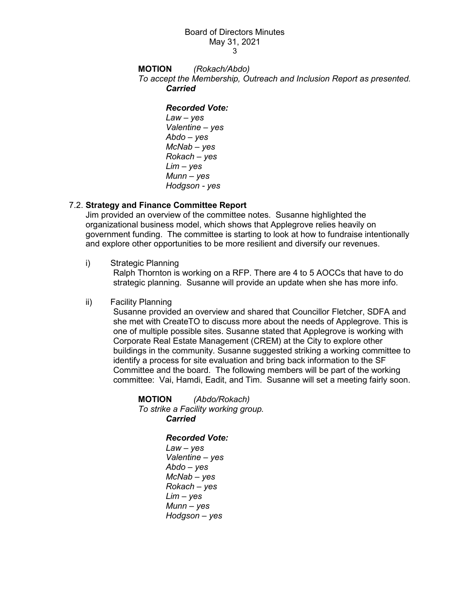#### Board of Directors Minutes May 31, 2021 3

#### **MOTION** *(Rokach/Abdo) To accept the Membership, Outreach and Inclusion Report as presented. Carried*

#### *Recorded Vote:*

*Law – yes Valentine – yes Abdo – yes McNab – yes Rokach – yes Lim – yes Munn – yes Hodgson - yes*

# 7.2. **Strategy and Finance Committee Report**

Jim provided an overview of the committee notes. Susanne highlighted the organizational business model, which shows that Applegrove relies heavily on government funding. The committee is starting to look at how to fundraise intentionally and explore other opportunities to be more resilient and diversify our revenues.

i) Strategic Planning

Ralph Thornton is working on a RFP. There are 4 to 5 AOCCs that have to do strategic planning. Susanne will provide an update when she has more info.

### ii) Facility Planning

Susanne provided an overview and shared that Councillor Fletcher, SDFA and she met with CreateTO to discuss more about the needs of Applegrove. This is one of multiple possible sites. Susanne stated that Applegrove is working with Corporate Real Estate Management (CREM) at the City to explore other buildings in the community. Susanne suggested striking a working committee to identify a process for site evaluation and bring back information to the SF Committee and the board. The following members will be part of the working committee: Vai, Hamdi, Eadit, and Tim. Susanne will set a meeting fairly soon.

**MOTION** *(Abdo/Rokach) To strike a Facility working group. Carried* 

# *Recorded Vote:*

*Law – yes Valentine – yes Abdo – yes McNab – yes Rokach – yes Lim – yes Munn – yes Hodgson – yes*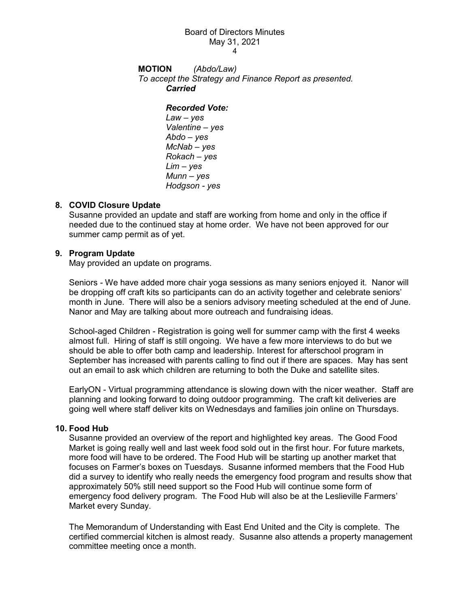# Board of Directors Minutes May 31, 2021

4

**MOTION** *(Abdo/Law) To accept the Strategy and Finance Report as presented. Carried* 

#### *Recorded Vote:*

*Law – yes Valentine – yes Abdo – yes McNab – yes Rokach – yes Lim – yes Munn – yes Hodgson - yes*

# **8. COVID Closure Update**

Susanne provided an update and staff are working from home and only in the office if needed due to the continued stay at home order. We have not been approved for our summer camp permit as of yet.

### **9. Program Update**

May provided an update on programs.

Seniors - We have added more chair yoga sessions as many seniors enjoyed it. Nanor will be dropping off craft kits so participants can do an activity together and celebrate seniors' month in June. There will also be a seniors advisory meeting scheduled at the end of June. Nanor and May are talking about more outreach and fundraising ideas.

School-aged Children - Registration is going well for summer camp with the first 4 weeks almost full. Hiring of staff is still ongoing. We have a few more interviews to do but we should be able to offer both camp and leadership. Interest for afterschool program in September has increased with parents calling to find out if there are spaces. May has sent out an email to ask which children are returning to both the Duke and satellite sites.

EarlyON - Virtual programming attendance is slowing down with the nicer weather. Staff are planning and looking forward to doing outdoor programming. The craft kit deliveries are going well where staff deliver kits on Wednesdays and families join online on Thursdays.

#### **10. Food Hub**

Susanne provided an overview of the report and highlighted key areas. The Good Food Market is going really well and last week food sold out in the first hour. For future markets, more food will have to be ordered. The Food Hub will be starting up another market that focuses on Farmer's boxes on Tuesdays. Susanne informed members that the Food Hub did a survey to identify who really needs the emergency food program and results show that approximately 50% still need support so the Food Hub will continue some form of emergency food delivery program. The Food Hub will also be at the Leslieville Farmers' Market every Sunday.

The Memorandum of Understanding with East End United and the City is complete. The certified commercial kitchen is almost ready. Susanne also attends a property management committee meeting once a month.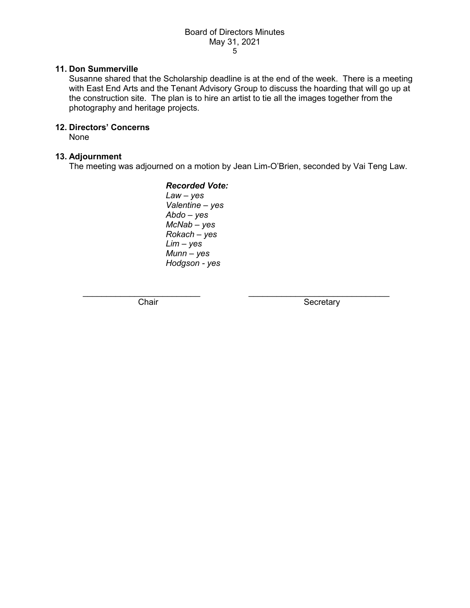### **11. Don Summerville**

Susanne shared that the Scholarship deadline is at the end of the week. There is a meeting with East End Arts and the Tenant Advisory Group to discuss the hoarding that will go up at the construction site. The plan is to hire an artist to tie all the images together from the photography and heritage projects.

# **12. Directors' Concerns**

None

### **13. Adjournment**

The meeting was adjourned on a motion by Jean Lim-O'Brien, seconded by Vai Teng Law.

*Recorded Vote: Law – yes Valentine – yes Abdo – yes McNab – yes Rokach – yes Lim – yes Munn – yes Hodgson - yes*

\_\_\_\_\_\_\_\_\_\_\_\_\_\_\_\_\_\_\_\_\_\_\_\_\_ \_\_\_\_\_\_\_\_\_\_\_\_\_\_\_\_\_\_\_\_\_\_\_\_\_\_\_\_\_\_

Chair **Secretary** Secretary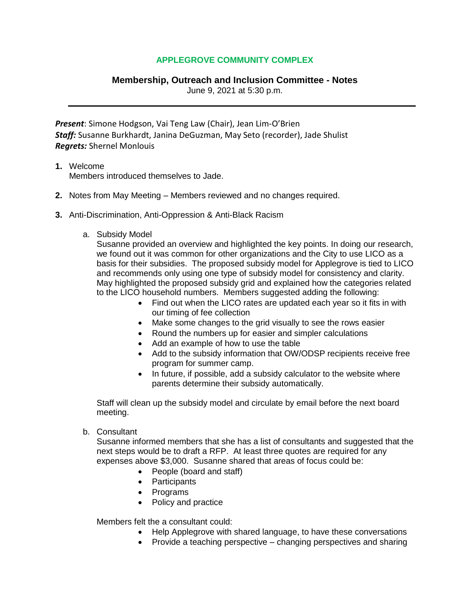# **Membership, Outreach and Inclusion Committee - Notes**

June 9, 2021 at 5:30 p.m.

*Present*: Simone Hodgson, Vai Teng Law (Chair), Jean Lim-O'Brien *Staff:* Susanne Burkhardt, Janina DeGuzman, May Seto (recorder), Jade Shulist *Regrets:* Shernel Monlouis

# **1.** Welcome

Members introduced themselves to Jade.

- **2.** Notes from May Meeting Members reviewed and no changes required.
- **3.** Anti-Discrimination, Anti-Oppression & Anti-Black Racism
	- a. Subsidy Model

Susanne provided an overview and highlighted the key points. In doing our research, we found out it was common for other organizations and the City to use LICO as a basis for their subsidies. The proposed subsidy model for Applegrove is tied to LICO and recommends only using one type of subsidy model for consistency and clarity. May highlighted the proposed subsidy grid and explained how the categories related to the LICO household numbers. Members suggested adding the following:

- Find out when the LICO rates are updated each year so it fits in with our timing of fee collection
- Make some changes to the grid visually to see the rows easier
- Round the numbers up for easier and simpler calculations
- Add an example of how to use the table
- Add to the subsidy information that OW/ODSP recipients receive free program for summer camp.
- In future, if possible, add a subsidy calculator to the website where parents determine their subsidy automatically.

Staff will clean up the subsidy model and circulate by email before the next board meeting.

b. Consultant

Susanne informed members that she has a list of consultants and suggested that the next steps would be to draft a RFP. At least three quotes are required for any expenses above \$3,000. Susanne shared that areas of focus could be:

- People (board and staff)
- Participants
- Programs
- Policy and practice

Members felt the a consultant could:

- Help Applegrove with shared language, to have these conversations
- Provide a teaching perspective changing perspectives and sharing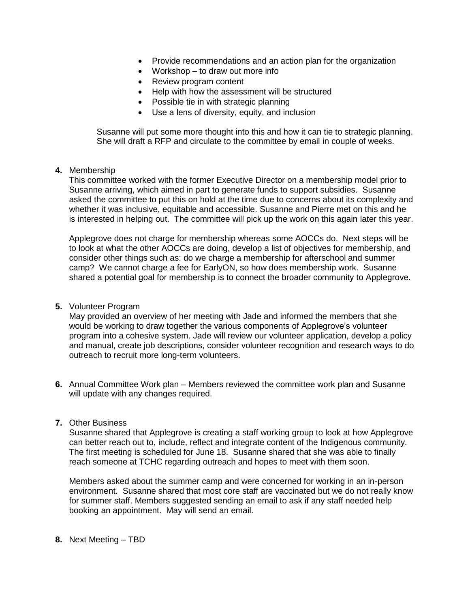- Provide recommendations and an action plan for the organization
- Workshop to draw out more info
- Review program content
- Help with how the assessment will be structured
- Possible tie in with strategic planning
- Use a lens of diversity, equity, and inclusion

Susanne will put some more thought into this and how it can tie to strategic planning. She will draft a RFP and circulate to the committee by email in couple of weeks.

#### **4.** Membership

This committee worked with the former Executive Director on a membership model prior to Susanne arriving, which aimed in part to generate funds to support subsidies. Susanne asked the committee to put this on hold at the time due to concerns about its complexity and whether it was inclusive, equitable and accessible. Susanne and Pierre met on this and he is interested in helping out. The committee will pick up the work on this again later this year.

Applegrove does not charge for membership whereas some AOCCs do. Next steps will be to look at what the other AOCCs are doing, develop a list of objectives for membership, and consider other things such as: do we charge a membership for afterschool and summer camp? We cannot charge a fee for EarlyON, so how does membership work. Susanne shared a potential goal for membership is to connect the broader community to Applegrove.

### **5.** Volunteer Program

May provided an overview of her meeting with Jade and informed the members that she would be working to draw together the various components of Applegrove's volunteer program into a cohesive system. Jade will review our volunteer application, develop a policy and manual, create job descriptions, consider volunteer recognition and research ways to do outreach to recruit more long-term volunteers.

**6.** Annual Committee Work plan – Members reviewed the committee work plan and Susanne will update with any changes required.

### **7.** Other Business

Susanne shared that Applegrove is creating a staff working group to look at how Applegrove can better reach out to, include, reflect and integrate content of the Indigenous community. The first meeting is scheduled for June 18. Susanne shared that she was able to finally reach someone at TCHC regarding outreach and hopes to meet with them soon.

Members asked about the summer camp and were concerned for working in an in-person environment. Susanne shared that most core staff are vaccinated but we do not really know for summer staff. Members suggested sending an email to ask if any staff needed help booking an appointment. May will send an email.

#### **8.** Next Meeting – TBD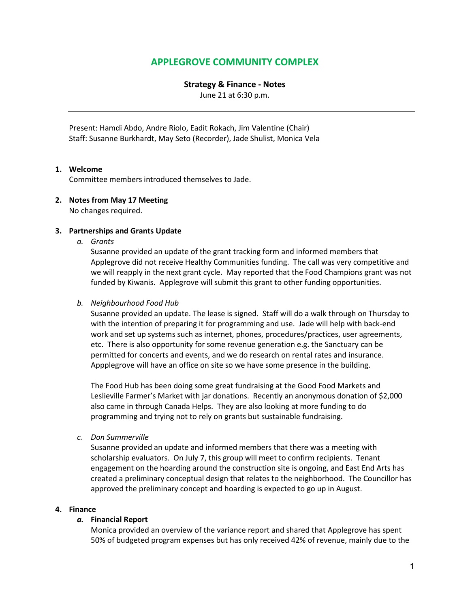#### **Strategy & Finance - Notes**

June 21 at 6:30 p.m.

Present: Hamdi Abdo, Andre Riolo, Eadit Rokach, Jim Valentine (Chair) Staff: Susanne Burkhardt, May Seto (Recorder), Jade Shulist, Monica Vela

### **1. Welcome**

Committee members introduced themselves to Jade.

#### **2. Notes from May 17 Meeting**

No changes required.

#### **3. Partnerships and Grants Update**

*a. Grants*

Susanne provided an update of the grant tracking form and informed members that Applegrove did not receive Healthy Communities funding. The call was very competitive and we will reapply in the next grant cycle. May reported that the Food Champions grant was not funded by Kiwanis. Applegrove will submit this grant to other funding opportunities.

#### *b. Neighbourhood Food Hub*

Susanne provided an update. The lease is signed. Staff will do a walk through on Thursday to with the intention of preparing it for programming and use. Jade will help with back-end work and set up systems such as internet, phones, procedures/practices, user agreements, etc. There is also opportunity for some revenue generation e.g. the Sanctuary can be permitted for concerts and events, and we do research on rental rates and insurance. Appplegrove will have an office on site so we have some presence in the building.

The Food Hub has been doing some great fundraising at the Good Food Markets and Leslieville Farmer's Market with jar donations. Recently an anonymous donation of \$2,000 also came in through Canada Helps. They are also looking at more funding to do programming and trying not to rely on grants but sustainable fundraising.

*c. Don Summerville*

Susanne provided an update and informed members that there was a meeting with scholarship evaluators. On July 7, this group will meet to confirm recipients. Tenant engagement on the hoarding around the construction site is ongoing, and East End Arts has created a preliminary conceptual design that relates to the neighborhood. The Councillor has approved the preliminary concept and hoarding is expected to go up in August.

#### **4. Finance**

#### *a.* **Financial Report**

Monica provided an overview of the variance report and shared that Applegrove has spent 50% of budgeted program expenses but has only received 42% of revenue, mainly due to the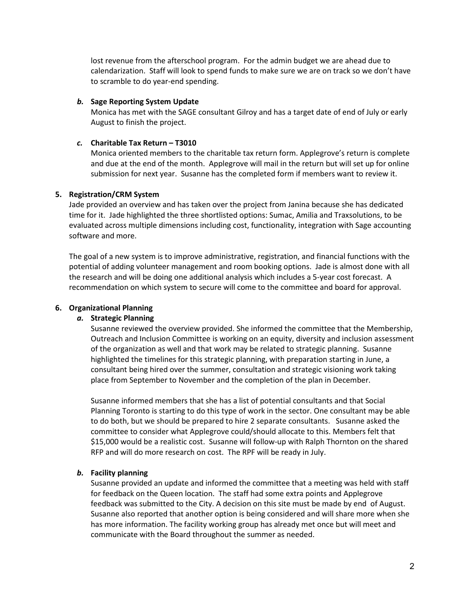lost revenue from the afterschool program. For the admin budget we are ahead due to calendarization. Staff will look to spend funds to make sure we are on track so we don't have to scramble to do year-end spending.

#### *b.* **Sage Reporting System Update**

Monica has met with the SAGE consultant Gilroy and has a target date of end of July or early August to finish the project.

#### *c.* **Charitable Tax Return – T3010**

Monica oriented members to the charitable tax return form. Applegrove's return is complete and due at the end of the month. Applegrove will mail in the return but will set up for online submission for next year. Susanne has the completed form if members want to review it.

#### **5. Registration/CRM System**

Jade provided an overview and has taken over the project from Janina because she has dedicated time for it. Jade highlighted the three shortlisted options: Sumac, Amilia and Traxsolutions, to be evaluated across multiple dimensions including cost, functionality, integration with Sage accounting software and more.

The goal of a new system is to improve administrative, registration, and financial functions with the potential of adding volunteer management and room booking options. Jade is almost done with all the research and will be doing one additional analysis which includes a 5-year cost forecast. A recommendation on which system to secure will come to the committee and board for approval.

#### **6. Organizational Planning**

#### *a.* **Strategic Planning**

Susanne reviewed the overview provided. She informed the committee that the Membership, Outreach and Inclusion Committee is working on an equity, diversity and inclusion assessment of the organization as well and that work may be related to strategic planning. Susanne highlighted the timelines for this strategic planning, with preparation starting in June, a consultant being hired over the summer, consultation and strategic visioning work taking place from September to November and the completion of the plan in December.

Susanne informed members that she has a list of potential consultants and that Social Planning Toronto is starting to do this type of work in the sector. One consultant may be able to do both, but we should be prepared to hire 2 separate consultants. Susanne asked the committee to consider what Applegrove could/should allocate to this. Members felt that \$15,000 would be a realistic cost. Susanne will follow-up with Ralph Thornton on the shared RFP and will do more research on cost. The RPF will be ready in July.

#### *b.* **Facility planning**

Susanne provided an update and informed the committee that a meeting was held with staff for feedback on the Queen location. The staff had some extra points and Applegrove feedback was submitted to the City. A decision on this site must be made by end of August. Susanne also reported that another option is being considered and will share more when she has more information. The facility working group has already met once but will meet and communicate with the Board throughout the summer as needed.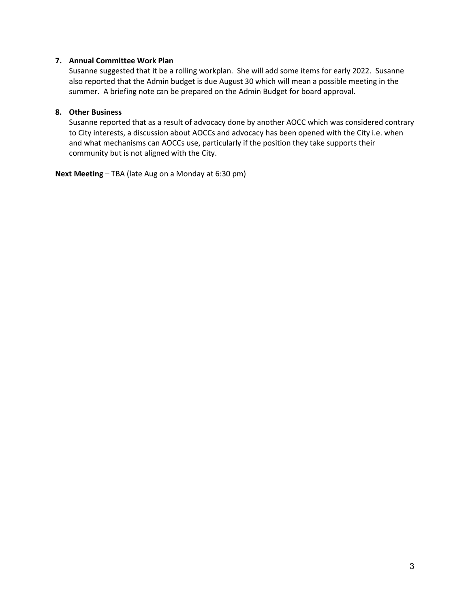#### **7. Annual Committee Work Plan**

Susanne suggested that it be a rolling workplan. She will add some items for early 2022. Susanne also reported that the Admin budget is due August 30 which will mean a possible meeting in the summer. A briefing note can be prepared on the Admin Budget for board approval.

### **8. Other Business**

Susanne reported that as a result of advocacy done by another AOCC which was considered contrary to City interests, a discussion about AOCCs and advocacy has been opened with the City i.e. when and what mechanisms can AOCCs use, particularly if the position they take supports their community but is not aligned with the City.

**Next Meeting** – TBA (late Aug on a Monday at 6:30 pm)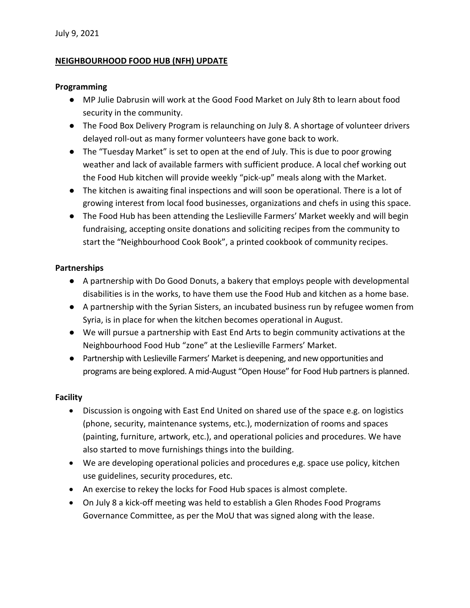# **NEIGHBOURHOOD FOOD HUB (NFH) UPDATE**

### **Programming**

- MP Julie Dabrusin will work at the Good Food Market on July 8th to learn about food security in the community.
- The Food Box Delivery Program is relaunching on July 8. A shortage of volunteer drivers delayed roll-out as many former volunteers have gone back to work.
- The "Tuesday Market" is set to open at the end of July. This is due to poor growing weather and lack of available farmers with sufficient produce. A local chef working out the Food Hub kitchen will provide weekly "pick-up" meals along with the Market.
- The kitchen is awaiting final inspections and will soon be operational. There is a lot of growing interest from local food businesses, organizations and chefs in using this space.
- The Food Hub has been attending the Leslieville Farmers' Market weekly and will begin fundraising, accepting onsite donations and soliciting recipes from the community to start the "Neighbourhood Cook Book", a printed cookbook of community recipes.

# **Partnerships**

- A partnership with Do Good Donuts, a bakery that employs people with developmental disabilities is in the works, to have them use the Food Hub and kitchen as a home base.
- A partnership with the Syrian Sisters, an incubated business run by refugee women from Syria, is in place for when the kitchen becomes operational in August.
- We will pursue a partnership with East End Arts to begin community activations at the Neighbourhood Food Hub "zone" at the Leslieville Farmers' Market.
- Partnership with Leslieville Farmers' Market is deepening, and new opportunities and programs are being explored. A mid-August "Open House" for Food Hub partners is planned.

# **Facility**

- Discussion is ongoing with East End United on shared use of the space e.g. on logistics (phone, security, maintenance systems, etc.), modernization of rooms and spaces (painting, furniture, artwork, etc.), and operational policies and procedures. We have also started to move furnishings things into the building.
- We are developing operational policies and procedures e,g. space use policy, kitchen use guidelines, security procedures, etc.
- An exercise to rekey the locks for Food Hub spaces is almost complete.
- On July 8 a kick-off meeting was held to establish a Glen Rhodes Food Programs Governance Committee, as per the MoU that was signed along with the lease.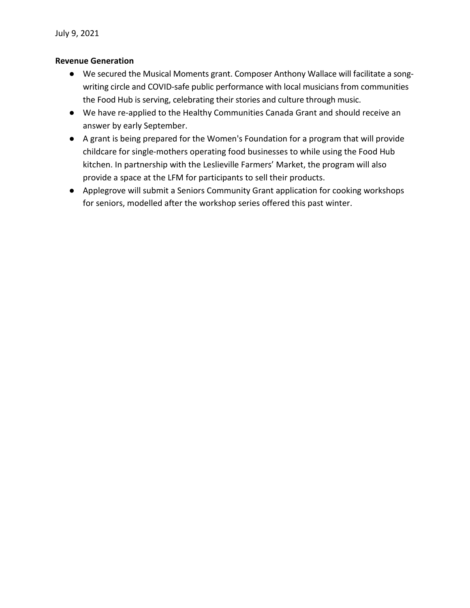# **Revenue Generation**

- We secured the Musical Moments grant. Composer Anthony Wallace will facilitate a songwriting circle and COVID-safe public performance with local musicians from communities the Food Hub is serving, celebrating their stories and culture through music.
- We have re-applied to the Healthy Communities Canada Grant and should receive an answer by early September.
- A grant is being prepared for the Women's Foundation for a program that will provide childcare for single-mothers operating food businesses to while using the Food Hub kitchen. In partnership with the Leslieville Farmers' Market, the program will also provide a space at the LFM for participants to sell their products.
- Applegrove will submit a Seniors Community Grant application for cooking workshops for seniors, modelled after the workshop series offered this past winter.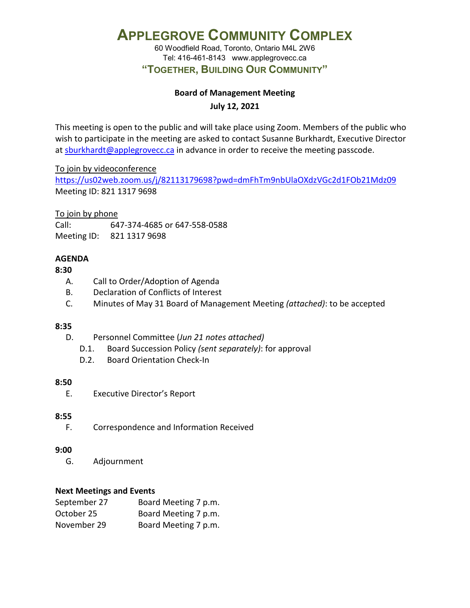60 Woodfield Road, Toronto, Ontario M4L 2W6 Tel: 416-461-8143 www.applegrovecc.ca **"TOGETHER, BUILDING OUR COMMUNITY"**

# **Board of Management Meeting**

**July 12, 2021**

This meeting is open to the public and will take place using Zoom. Members of the public who wish to participate in the meeting are asked to contact Susanne Burkhardt, Executive Director at [sburkhardt@applegrovecc.ca](mailto:sburkhardt@applegrovecc.ca) in advance in order to receive the meeting passcode.

To join by videoconference

<https://us02web.zoom.us/j/82113179698?pwd=dmFhTm9nbUlaOXdzVGc2d1FOb21Mdz09> Meeting ID: 821 1317 9698

To join by phone

Call: 647-374-4685 or 647-558-0588 Meeting ID: 821 1317 9698

# **AGENDA**

# **8:30**

- A. Call to Order/Adoption of Agenda
- B. Declaration of Conflicts of Interest
- C. Minutes of May 31 Board of Management Meeting *(attached)*: to be accepted

# **8:35**

- D. Personnel Committee (*Jun 21 notes attached)*
	- D.1. Board Succession Policy *(sent separately)*: for approval
	- D.2. Board Orientation Check-In

# **8:50**

E. Executive Director's Report

# **8:55**

F. Correspondence and Information Received

# **9:00**

G. Adjournment

# **Next Meetings and Events**

| September 27 | Board Meeting 7 p.m. |
|--------------|----------------------|
| October 25   | Board Meeting 7 p.m. |
| November 29  | Board Meeting 7 p.m. |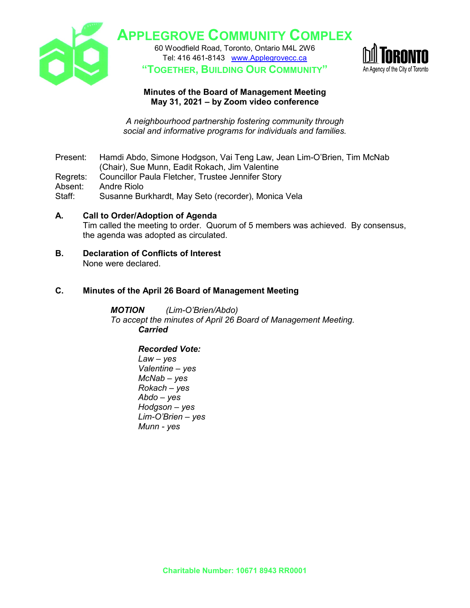

60 Woodfield Road, Toronto, Ontario M4L 2W6 Tel: 416 461-8143 [www.Applegrovecc.ca](http://www.applegrovecc.ca/) **"TOGETHER, BUILDING OUR COMMUNITY"**



# **Minutes of the Board of Management Meeting May 31, 2021 – by Zoom video conference**

*A neighbourhood partnership fostering community through social and informative programs for individuals and families.*

Present: Hamdi Abdo, Simone Hodgson, Vai Teng Law, Jean Lim-O'Brien, Tim McNab (Chair), Sue Munn, Eadit Rokach, Jim Valentine

Regrets: Councillor Paula Fletcher, Trustee Jennifer Story

Absent: Andre Riolo

Staff: Susanne Burkhardt, May Seto (recorder), Monica Vela

- **A. Call to Order/Adoption of Agenda** Tim called the meeting to order. Quorum of 5 members was achieved. By consensus, the agenda was adopted as circulated.
- **B. Declaration of Conflicts of Interest** None were declared.

# **C. Minutes of the April 26 Board of Management Meeting**

*MOTION (Lim-O'Brien/Abdo) To accept the minutes of April 26 Board of Management Meeting. Carried*

*Recorded Vote: Law – yes Valentine – yes McNab – yes Rokach – yes Abdo – yes Hodgson – yes Lim-O'Brien – yes Munn - yes*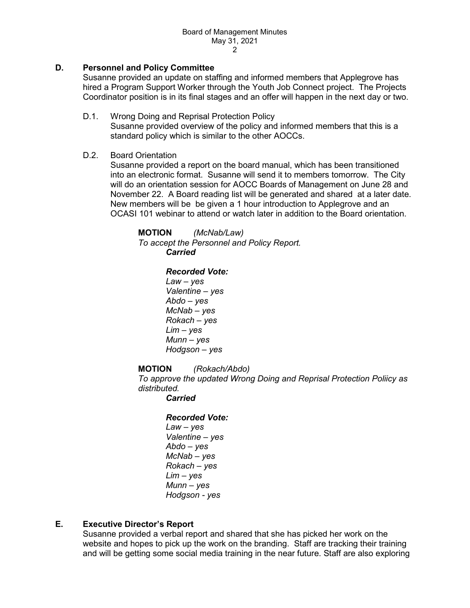# **D. Personnel and Policy Committee**

Susanne provided an update on staffing and informed members that Applegrove has hired a Program Support Worker through the Youth Job Connect project. The Projects Coordinator position is in its final stages and an offer will happen in the next day or two.

D.1. Wrong Doing and Reprisal Protection Policy Susanne provided overview of the policy and informed members that this is a standard policy which is similar to the other AOCCs.

#### D.2. Board Orientation

Susanne provided a report on the board manual, which has been transitioned into an electronic format. Susanne will send it to members tomorrow. The City will do an orientation session for AOCC Boards of Management on June 28 and November 22. A Board reading list will be generated and shared at a later date. New members will be be given a 1 hour introduction to Applegrove and an OCASI 101 webinar to attend or watch later in addition to the Board orientation.

**MOTION** *(McNab/Law) To accept the Personnel and Policy Report. Carried* 

### *Recorded Vote:*

*Law – yes Valentine – yes Abdo – yes McNab – yes Rokach – yes Lim – yes Munn – yes Hodgson – yes*

#### **MOTION** *(Rokach/Abdo)*

*To approve the updated Wrong Doing and Reprisal Protection Poliicy as distributed.* 

#### *Carried*

# *Recorded Vote:*

*Law – yes Valentine – yes Abdo – yes McNab – yes Rokach – yes Lim – yes Munn – yes Hodgson - yes*

# **E. Executive Director's Report**

Susanne provided a verbal report and shared that she has picked her work on the website and hopes to pick up the work on the branding. Staff are tracking their training and will be getting some social media training in the near future. Staff are also exploring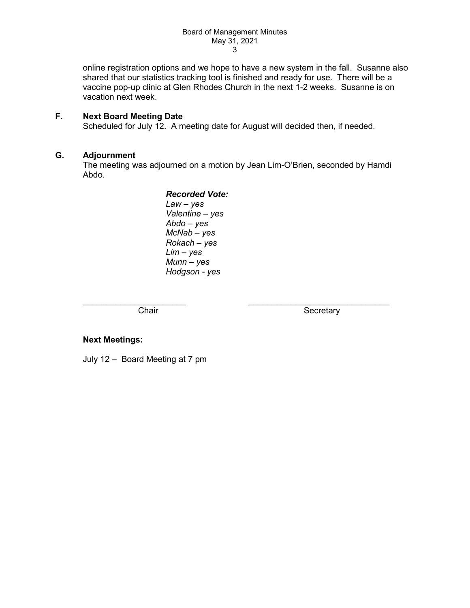online registration options and we hope to have a new system in the fall. Susanne also shared that our statistics tracking tool is finished and ready for use. There will be a vaccine pop-up clinic at Glen Rhodes Church in the next 1-2 weeks. Susanne is on vacation next week.

# **F. Next Board Meeting Date**

Scheduled for July 12. A meeting date for August will decided then, if needed.

# **G. Adjournment**

The meeting was adjourned on a motion by Jean Lim-O'Brien, seconded by Hamdi Abdo.

> *Recorded Vote: Law – yes Valentine – yes Abdo – yes McNab – yes Rokach – yes Lim – yes Munn – yes Hodgson - yes*

 $\_$  , and the set of the set of the set of the set of the set of the set of the set of the set of the set of the set of the set of the set of the set of the set of the set of the set of the set of the set of the set of th

Chair **Secretary** Secretary

#### **Next Meetings:**

July 12 – Board Meeting at 7 pm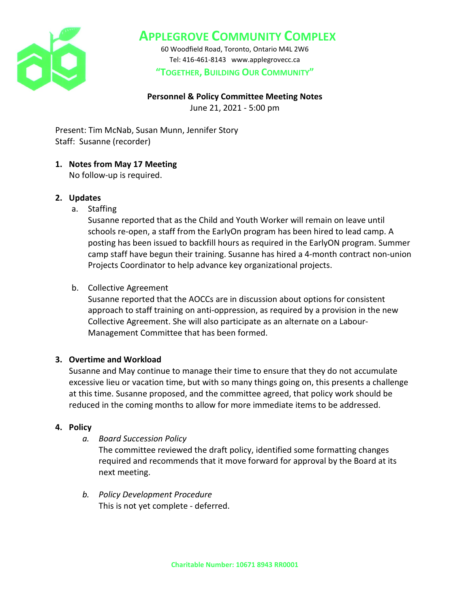

60 Woodfield Road, Toronto, Ontario M4L 2W6 Tel: 416-461-8143 www.applegrovecc.ca **"TOGETHER, BUILDING OUR COMMUNITY"**

# **Personnel & Policy Committee Meeting Notes**

June 21, 2021 - 5:00 pm

Present: Tim McNab, Susan Munn, Jennifer Story Staff: Susanne (recorder)

# **1. Notes from May 17 Meeting**

No follow-up is required.

# **2. Updates**

a. Staffing

Susanne reported that as the Child and Youth Worker will remain on leave until schools re-open, a staff from the EarlyOn program has been hired to lead camp. A posting has been issued to backfill hours as required in the EarlyON program. Summer camp staff have begun their training. Susanne has hired a 4-month contract non-union Projects Coordinator to help advance key organizational projects.

# b. Collective Agreement

Susanne reported that the AOCCs are in discussion about options for consistent approach to staff training on anti-oppression, as required by a provision in the new Collective Agreement. She will also participate as an alternate on a Labour-Management Committee that has been formed.

# **3. Overtime and Workload**

Susanne and May continue to manage their time to ensure that they do not accumulate excessive lieu or vacation time, but with so many things going on, this presents a challenge at this time. Susanne proposed, and the committee agreed, that policy work should be reduced in the coming months to allow for more immediate items to be addressed.

# **4. Policy**

*a. Board Succession Policy*

The committee reviewed the draft policy, identified some formatting changes required and recommends that it move forward for approval by the Board at its next meeting.

*b. Policy Development Procedure* This is not yet complete - deferred.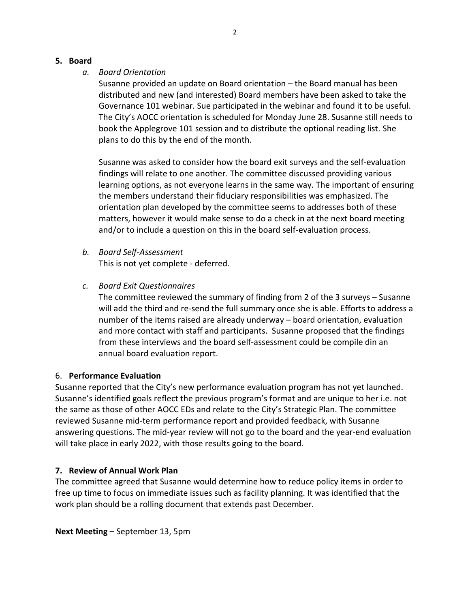### **5. Board**

# *a. Board Orientation*

Susanne provided an update on Board orientation – the Board manual has been distributed and new (and interested) Board members have been asked to take the Governance 101 webinar. Sue participated in the webinar and found it to be useful. The City's AOCC orientation is scheduled for Monday June 28. Susanne still needs to book the Applegrove 101 session and to distribute the optional reading list. She plans to do this by the end of the month.

Susanne was asked to consider how the board exit surveys and the self-evaluation findings will relate to one another. The committee discussed providing various learning options, as not everyone learns in the same way. The important of ensuring the members understand their fiduciary responsibilities was emphasized. The orientation plan developed by the committee seems to addresses both of these matters, however it would make sense to do a check in at the next board meeting and/or to include a question on this in the board self-evaluation process.

- *b. Board Self-Assessment* This is not yet complete - deferred.
- *c. Board Exit Questionnaires*

The committee reviewed the summary of finding from 2 of the 3 surveys – Susanne will add the third and re-send the full summary once she is able. Efforts to address a number of the items raised are already underway – board orientation, evaluation and more contact with staff and participants. Susanne proposed that the findings from these interviews and the board self-assessment could be compile din an annual board evaluation report.

# 6. **Performance Evaluation**

Susanne reported that the City's new performance evaluation program has not yet launched. Susanne's identified goals reflect the previous program's format and are unique to her i.e. not the same as those of other AOCC EDs and relate to the City's Strategic Plan. The committee reviewed Susanne mid-term performance report and provided feedback, with Susanne answering questions. The mid-year review will not go to the board and the year-end evaluation will take place in early 2022, with those results going to the board.

# **7. Review of Annual Work Plan**

The committee agreed that Susanne would determine how to reduce policy items in order to free up time to focus on immediate issues such as facility planning. It was identified that the work plan should be a rolling document that extends past December.

**Next Meeting** – September 13, 5pm